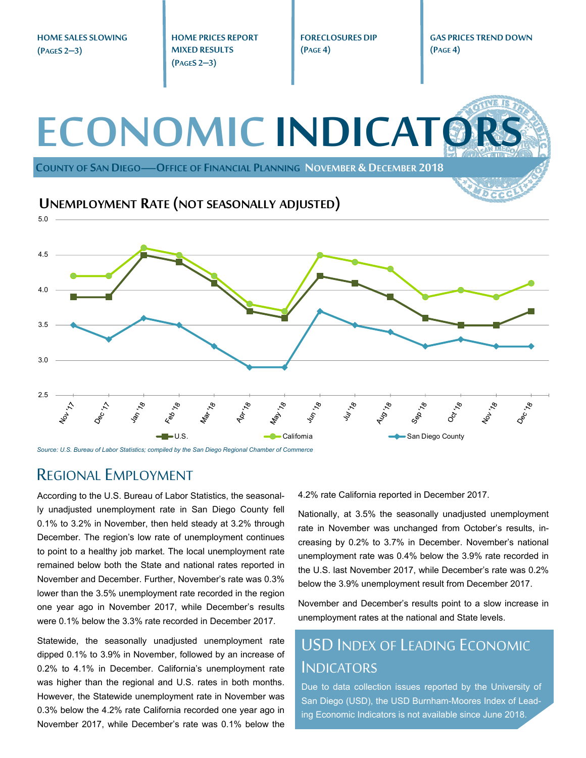**HOME SALES SLOWING (PAGES 2–3)** 

**HOME PRICES REPORT MIXED RESULTS (PAGES 2–3)** 

**FORECLOSURES DIP (PAGE 4)** 

**GAS PRICES TREND DOWN (PAGE 4)** 



*Source: U.S. Bureau of Labor Statistics; compiled by the San Diego Regional Chamber of Commerce* 

#### REGIONAL EMPLOYMENT

According to the U.S. Bureau of Labor Statistics, the seasonally unadjusted unemployment rate in San Diego County fell 0.1% to 3.2% in November, then held steady at 3.2% through December. The region's low rate of unemployment continues to point to a healthy job market. The local unemployment rate remained below both the State and national rates reported in November and December. Further, November's rate was 0.3% lower than the 3.5% unemployment rate recorded in the region one year ago in November 2017, while December's results were 0.1% below the 3.3% rate recorded in December 2017.

Statewide, the seasonally unadjusted unemployment rate dipped 0.1% to 3.9% in November, followed by an increase of 0.2% to 4.1% in December. California's unemployment rate was higher than the regional and U.S. rates in both months. However, the Statewide unemployment rate in November was 0.3% below the 4.2% rate California recorded one year ago in November 2017, while December's rate was 0.1% below the

4.2% rate California reported in December 2017.

Nationally, at 3.5% the seasonally unadjusted unemployment rate in November was unchanged from October's results, increasing by 0.2% to 3.7% in December. November's national unemployment rate was 0.4% below the 3.9% rate recorded in the U.S. last November 2017, while December's rate was 0.2% below the 3.9% unemployment result from December 2017.

November and December's results point to a slow increase in unemployment rates at the national and State levels.

## USD INDEX OF LEADING ECONOMIC **INDICATORS**

Due to data collection issues reported by the University of San Diego (USD), the USD Burnham-Moores Index of Leading Economic Indicators is not available since June 2018.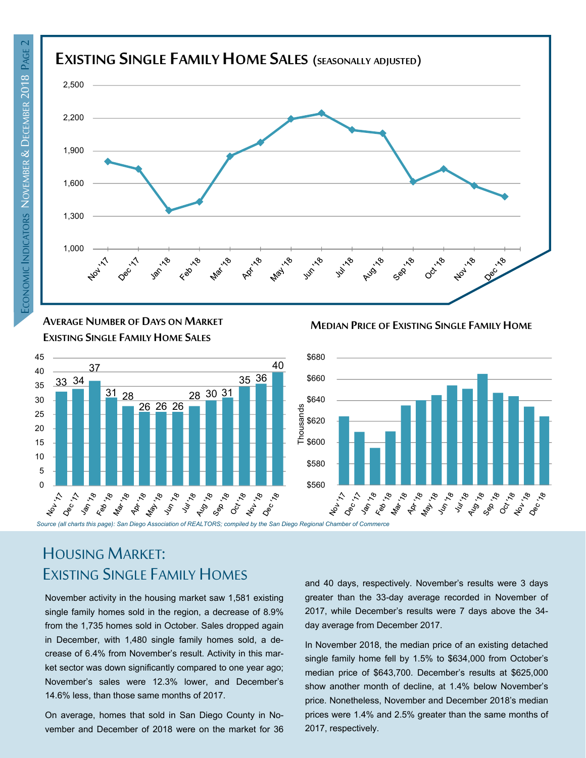

**AVERAGE NUMBER OF DAYS ON MARKET EXISTING SINGLE FAMILY HOME SALES**



# HOUSING MARKET: EXISTING SINGLE FAMILY HOMES

November activity in the housing market saw 1,581 existing single family homes sold in the region, a decrease of 8.9% from the 1,735 homes sold in October. Sales dropped again in December, with 1,480 single family homes sold, a decrease of 6.4% from November's result. Activity in this market sector was down significantly compared to one year ago; November's sales were 12.3% lower, and December's 14.6% less, than those same months of 2017.

On average, homes that sold in San Diego County in November and December of 2018 were on the market for 36 and 40 days, respectively. November's results were 3 days greater than the 33-day average recorded in November of 2017, while December's results were 7 days above the 34 day average from December 2017.

In November 2018, the median price of an existing detached single family home fell by 1.5% to \$634,000 from October's median price of \$643,700. December's results at \$625,000 show another month of decline, at 1.4% below November's price. Nonetheless, November and December 2018's median prices were 1.4% and 2.5% greater than the same months of 2017, respectively.

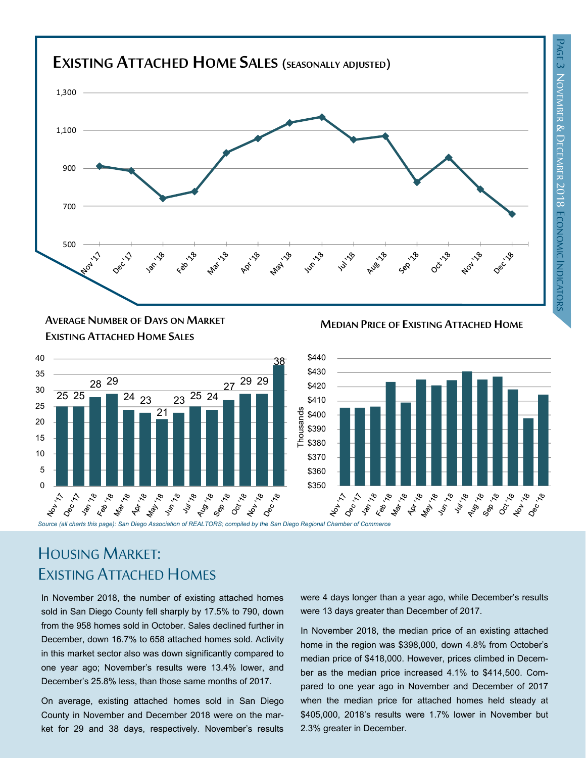

#### **MEDIAN PRICE OF EXISTING ATTACHED HOME AVERAGE NUMBER OF DAYS ON MARKET EXISTING ATTACHED HOME SALES**





# HOUSING MARKET: EXISTING ATTACHED HOMES

In November 2018, the number of existing attached homes sold in San Diego County fell sharply by 17.5% to 790, down from the 958 homes sold in October. Sales declined further in December, down 16.7% to 658 attached homes sold. Activity in this market sector also was down significantly compared to one year ago; November's results were 13.4% lower, and December's 25.8% less, than those same months of 2017.

On average, existing attached homes sold in San Diego County in November and December 2018 were on the market for 29 and 38 days, respectively. November's results were 4 days longer than a year ago, while December's results were 13 days greater than December of 2017.

In November 2018, the median price of an existing attached home in the region was \$398,000, down 4.8% from October's median price of \$418,000. However, prices climbed in December as the median price increased 4.1% to \$414,500. Compared to one year ago in November and December of 2017 when the median price for attached homes held steady at \$405,000, 2018's results were 1.7% lower in November but 2.3% greater in December.